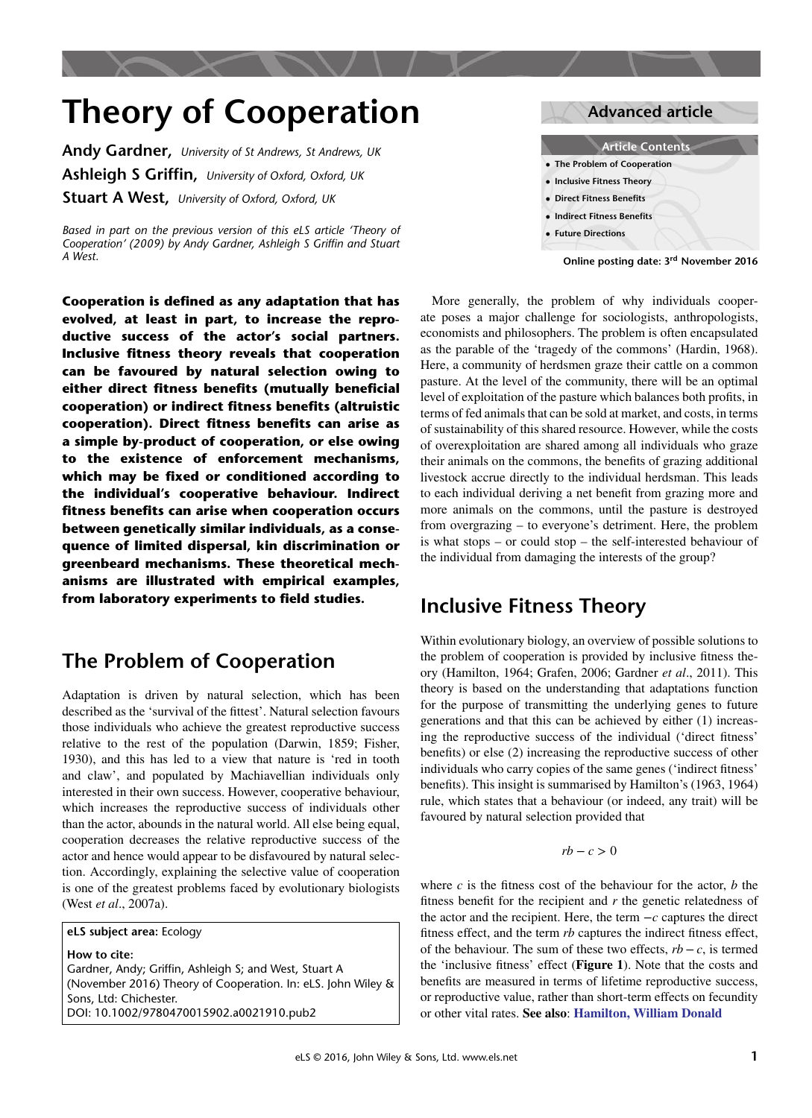# **Theory of Cooperation**

**Andy Gardner,** *University of St Andrews, St Andrews, UK* **Ashleigh S Griffin,** *University of Oxford, Oxford, UK* **Stuart A West,** *University of Oxford, Oxford, UK*

*Based in part on the previous version of this eLS article 'Theory of [Coopera](#page-0-0)tion' (2009) by Andy Gardner, Ashleigh S Griffin and Stuart A West.*

<span id="page-0-0"></span>**Cooperation is defined as any adaptation that has evolved, at least in part, to increase the reproductive success of the actor's social partners. Inclusive fitness theory reveals that cooperation can be favoured by natural selection owing to either direct fitness benefits (mutually beneficial cooperation) or indirect fitness benefits (altruistic cooperation). Direct fitness benefits can arise as a simple by-product of cooperation, or else owing to the existence of enforcement mechanisms, which may be fixed or conditioned according to the individual's cooperative behaviour. Indirect fitness benefits can arise when cooperation occurs between genetically similar individuals, as a consequence of limited dispersal, kin discrimination or greenbeard mechanisms. These theoretical mechanisms are illustrated with empirical examples, from laboratory experiments to field studies.**

# **The Problem of Cooperation**

Adaptation is driven by natural selection, which has been described as the 'survival of the fittest'. Natural selection favours those individuals who achieve the greatest reproductive success relative to the rest of the population (Darwin, [1859;](#page-5-0) Fisher, [1930\)](#page-5-0), and this has led to a view that nature is 'red in tooth and claw', and populated by Machiavellian individuals only interested in their own success. However, cooperative behaviour, which increases the reproductive success of individuals other than the actor, abounds in the natural world. All else being equal, cooperation decreases the relative reproductive success of the actor and hence would appear to be disfavoured by natural selection. Accordingly, explaining the selective value of cooperation is one of the greatest problems faced by evolutionary biologists (West *et al*., [2007a\)](#page-5-0).

**eLS subject area:** Ecology

**How to cite:** Gardner, Andy; Griffin, Ashleigh S; and West, Stuart A (November 2016) Theory of Cooperation. In: eLS. John Wiley & Sons, Ltd: Chichester. DOI: 10.1002/9780470015902.a0021910.pub2

#### **Advanced article**



**Online posting date: 3rd November 2016**

More generally, the problem of why individuals cooperate poses a major challenge for sociologists, anthropologists, economists and philosophers. The problem is often encapsulated as the parable of the 'tragedy of the commons' (Hardin, [1968\)](#page-5-0). Here, a community of herdsmen graze their cattle on a common pasture. At the level of the community, there will be an optimal level of exploitation of the pasture which balances both profits, in terms of fed animals that can be sold at market, and costs, in terms of sustainability of this shared resource. However, while the costs of overexploitation are shared among all individuals who graze their animals on the commons, the benefits of grazing additional livestock accrue directly to the individual herdsman. This leads to each individual deriving a net benefit from grazing more and more animals on the commons, until the pasture is destroyed from overgrazing – to everyone's detriment. Here, the problem is what stops – or could stop – the self-interested behaviour of the individual from damaging the interests of the group?

# **Inclusive Fitness Theory**

Within evolutionary biology, an overview of possible solutions to the problem of cooperation is provided by inclusive fitness theory (Hamilton, [1964;](#page-5-0) Grafen, [2006;](#page-5-0) Gardner *et al*., [2011\)](#page-5-0). This theory is based on the understanding that adaptations function for the purpose of transmitting the underlying genes to future generations and that this can be achieved by either (1) increasing the reproductive success of the individual ('direct fitness' benefits) or else (2) increasing the reproductive success of other individuals who carry copies of the same genes ('indirect fitness' benefits). This insight is summarised by Hamilton's [\(1963, 1964\)](#page-5-0) rule, which states that a behaviour (or indeed, any trait) will be favoured by natural selection provided that

$$
rb-c>0
$$

where *c* is the fitness cost of the behaviour for the actor, *b* the fitness benefit for the recipient and *r* the genetic relatedness of the actor and the recipient. Here, the term −*c* captures the direct fitness effect, and the term *rb* captures the indirect fitness effect, of the behaviour. The sum of these two effects, *rb*−*c*, is termed the 'inclusive fitness' effect (**Figure [1](#page-1-0)**). Note that the costs and benefits are measured in terms of lifetime reproductive success, or reproductive value, rather than short-term effects on fecundity or other vital rates. **See also**: **[Hamilton, William Donald](http://onlinelibrary.wiley.com/doi/10.1002/9780470015902.a0006243)**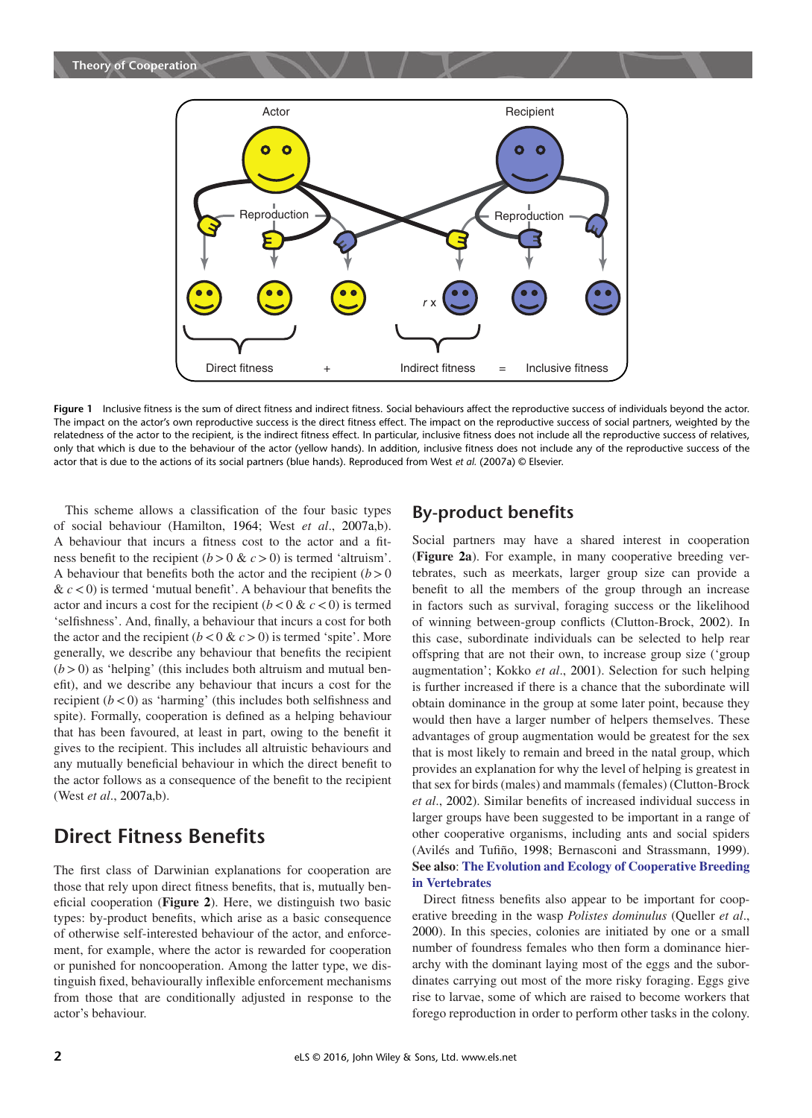<span id="page-1-0"></span>

Figure 1 Inclusive fitness is the sum of direct fitness and indirect fitness. Social behaviours affect the reproductive success of individuals beyond the actor. The impact on the actor's own reproductive success is the direct fitness effect. The impact on the reproductive success of social partners, weighted by the relatedness of the actor to the recipient, is the indirect fitness effect. In particular, inclusive fitness does not include all the reproductive success of relatives, only that which is due to the behaviour of the actor (yellow hands). In addition, inclusive fitness does not include any of the reproductive success of the actor that is due to the actions of its social partners (blue hands). Reproduced from West *et al.* [\(2007a\)](#page-5-0) © Elsevier.

This scheme allows a classification of the four basic types of social behaviour (Hamilton, [1964;](#page-5-0) West *et al*., [2007a,](#page-5-0)b). A behaviour that incurs a fitness cost to the actor and a fitness benefit to the recipient  $(b > 0 \& c > 0)$  is termed 'altruism'. A behaviour that benefits both the actor and the recipient  $(b>0)$  $\& c$  < 0) is termed 'mutual benefit'. A behaviour that benefits the actor and incurs a cost for the recipient  $(b < 0 \& c < 0)$  is termed 'selfishness'. And, finally, a behaviour that incurs a cost for both the actor and the recipient  $(b < 0 \& c > 0)$  is termed 'spite'. More generally, we describe any behaviour that benefits the recipient  $(b>0)$  as 'helping' (this includes both altruism and mutual benefit), and we describe any behaviour that incurs a cost for the recipient  $(b < 0)$  as 'harming' (this includes both selfishness and spite). Formally, cooperation is defined as a helping behaviour that has been favoured, at least in part, owing to the benefit it gives to the recipient. This includes all altruistic behaviours and any mutually beneficial behaviour in which the direct benefit to the actor follows as a consequence of the benefit to the recipient (West *et al*., [2007a,](#page-5-0)b).

## **Direct Fitness Benefits**

The first class of Darwinian explanations for cooperation are those that rely upon direct fitness benefits, that is, mutually beneficial cooperation (**Figure [2](#page-2-0)**). Here, we distinguish two basic types: by-product benefits, which arise as a basic consequence of otherwise self-interested behaviour of the actor, and enforcement, for example, where the actor is rewarded for cooperation or punished for noncooperation. Among the latter type, we distinguish fixed, behaviourally inflexible enforcement mechanisms from those that are conditionally adjusted in response to the actor's behaviour.

## **By-product benefits**

Social partners may have a shared interest in cooperation (**Figure [2a](#page-2-0)**). For example, in many cooperative breeding vertebrates, such as meerkats, larger group size can provide a benefit to all the members of the group through an increase in factors such as survival, foraging success or the likelihood of winning between-group conflicts (Clutton-Brock, [2002\)](#page-5-0). In this case, subordinate individuals can be selected to help rear offspring that are not their own, to increase group size ('group augmentation'; Kokko *et al*., [2001\)](#page-5-0). Selection for such helping is further increased if there is a chance that the subordinate will obtain dominance in the group at some later point, because they would then have a larger number of helpers themselves. These advantages of group augmentation would be greatest for the sex that is most likely to remain and breed in the natal group, which provides an explanation for why the level of helping is greatest in that sex for birds (males) and mammals (females) (Clutton-Brock *et al*., [2002\)](#page-5-0). Similar benefits of increased individual success in larger groups have been suggested to be important in a range of other cooperative organisms, including ants and social spiders (Avilés and Tufiño, [1998;](#page-5-0) Bernasconi and Strassmann, [1999\)](#page-5-0). **See also**: **The Evolution and Ecology of Cooperative Breeding in Vertebrates**

Direct fitness benefits also appear to be important for cooperative breeding in the wasp *Polistes dominulus* (Queller *et al*., [2000\)](#page-5-0). In this species, colonies are initiated by one or a small number of foundress females who then form a dominance hierarchy with the dominant laying most of the eggs and the subordinates carrying out most of the more risky foraging. Eggs give rise to larvae, some of which are raised to become workers that forego reproduction in order to perform other tasks in the colony.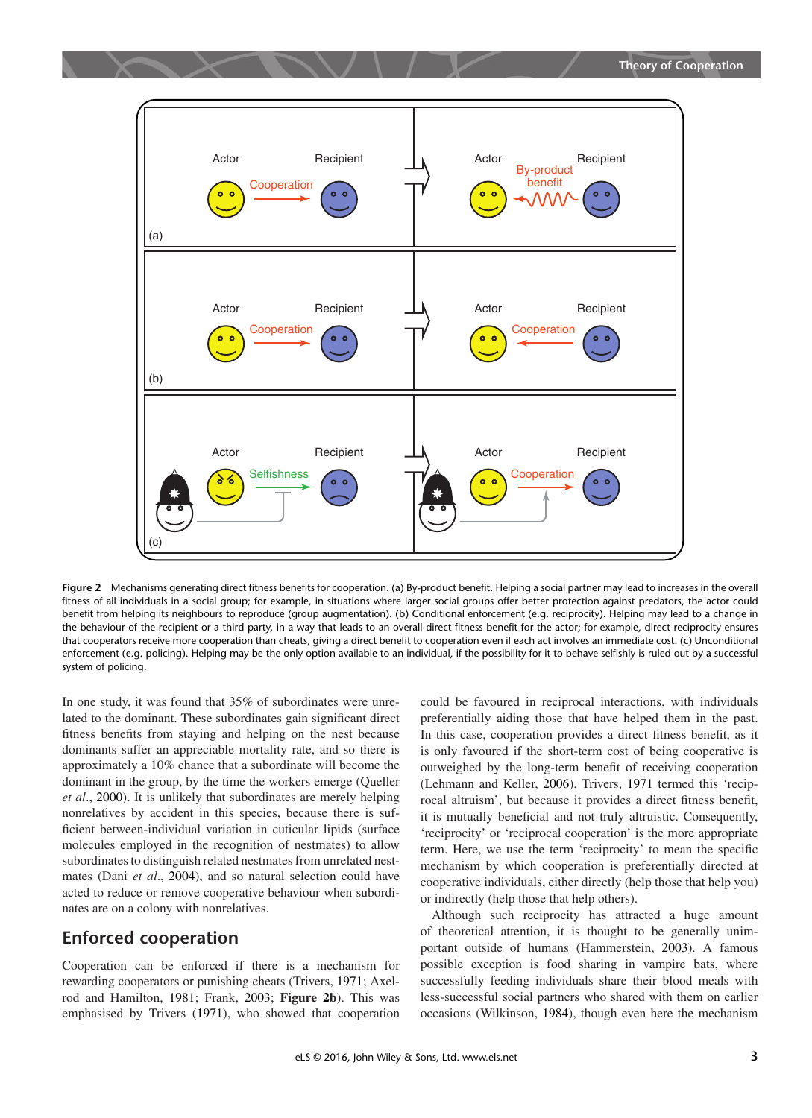<span id="page-2-0"></span>

**Figure 2** Mechanisms generating direct fitness benefits for cooperation. (a) By-product benefit. Helping a social partner may lead to increases in the overall fitness of all individuals in a social group; for example, in situations where larger social groups offer better protection against predators, the actor could benefit from helping its neighbours to reproduce (group augmentation). (b) Conditional enforcement (e.g. reciprocity). Helping may lead to a change in the behaviour of the recipient or a third party, in a way that leads to an overall direct fitness benefit for the actor; for example, direct reciprocity ensures that cooperators receive more cooperation than cheats, giving a direct benefit to cooperation even if each act involves an immediate cost. (c) Unconditional enforcement (e.g. policing). Helping may be the only option available to an individual, if the possibility for it to behave selfishly is ruled out by a successful system of policing.

In one study, it was found that 35% of subordinates were unrelated to the dominant. These subordinates gain significant direct fitness benefits from staying and helping on the nest because dominants suffer an appreciable mortality rate, and so there is approximately a 10% chance that a subordinate will become the dominant in the group, by the time the workers emerge (Queller *et al*., [2000\)](#page-5-0). It is unlikely that subordinates are merely helping nonrelatives by accident in this species, because there is sufficient between-individual variation in cuticular lipids (surface molecules employed in the recognition of nestmates) to allow subordinates to distinguish related nestmates from unrelated nestmates (Dani *et al*., [2004\)](#page-5-0), and so natural selection could have acted to reduce or remove cooperative behaviour when subordinates are on a colony with nonrelatives.

#### **Enforced cooperation**

Cooperation can be enforced if there is a mechanism for rewarding cooperators or punishing cheats (Trivers, [1971;](#page-5-0) Axelrod and Hamilton, [1981;](#page-5-0) Frank, [2003;](#page-5-0) **Figure [2b](#page-2-0)**). This was emphasised by Trivers [\(1971\)](#page-5-0), who showed that cooperation could be favoured in reciprocal interactions, with individuals preferentially aiding those that have helped them in the past. In this case, cooperation provides a direct fitness benefit, as it is only favoured if the short-term cost of being cooperative is outweighed by the long-term benefit of receiving cooperation (Lehmann and Keller, [2006\)](#page-5-0). Trivers, [1971](#page-5-0) termed this 'reciprocal altruism', but because it provides a direct fitness benefit, it is mutually beneficial and not truly altruistic. Consequently, 'reciprocity' or 'reciprocal cooperation' is the more appropriate term. Here, we use the term 'reciprocity' to mean the specific mechanism by which cooperation is preferentially directed at cooperative individuals, either directly (help those that help you) or indirectly (help those that help others).

Although such reciprocity has attracted a huge amount of theoretical attention, it is thought to be generally unimportant outside of humans (Hammerstein, [2003\)](#page-5-0). A famous possible exception is food sharing in vampire bats, where successfully feeding individuals share their blood meals with less-successful social partners who shared with them on earlier occasions (Wilkinson, [1984\)](#page-5-0), though even here the mechanism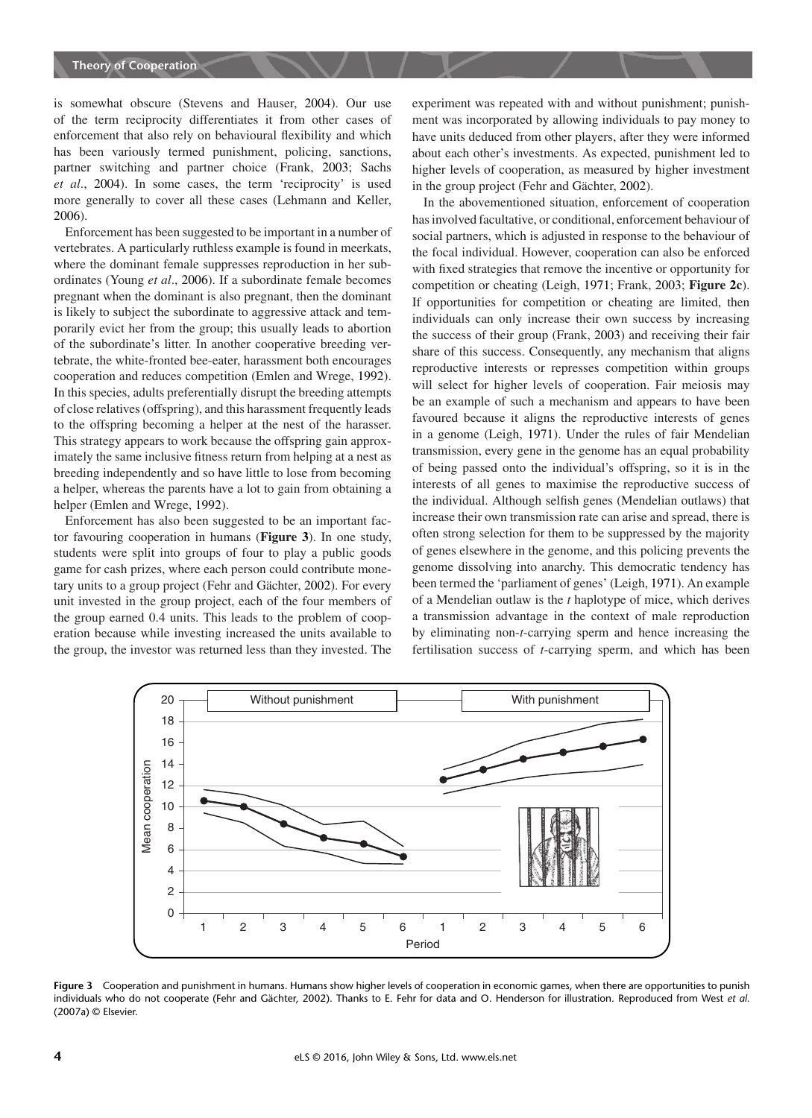is somewhat obscure (Stevens and Hauser, [2004\)](#page-5-0). Our use of the term reciprocity differentiates it from other cases of enforcement that also rely on behavioural flexibility and which has been variously termed punishment, policing, sanctions, partner switching and partner choice (Frank, [2003;](#page-5-0) Sachs *et al*., [2004\)](#page-5-0). In some cases, the term 'reciprocity' is used more generally to cover all these cases (Lehmann and Keller, [2006\)](#page-5-0).

Enforcement has been suggested to be important in a number of vertebrates. A particularly ruthless example is found in meerkats, where the dominant female suppresses reproduction in her subordinates (Young *et al*., [2006\)](#page-5-0). If a subordinate female becomes pregnant when the dominant is also pregnant, then the dominant is likely to subject the subordinate to aggressive attack and temporarily evict her from the group; this usually leads to abortion of the subordinate's litter. In another cooperative breeding vertebrate, the white-fronted bee-eater, harassment both encourages cooperation and reduces competition (Emlen and Wrege, [1992\)](#page-5-0). In this species, adults preferentially disrupt the breeding attempts of close relatives (offspring), and this harassment frequently leads to the offspring becoming a helper at the nest of the harasser. This strategy appears to work because the offspring gain approximately the same inclusive fitness return from helping at a nest as breeding independently and so have little to lose from becoming a helper, whereas the parents have a lot to gain from obtaining a helper (Emlen and Wrege, [1992\)](#page-5-0).

Enforcement has also been suggested to be an important factor favouring cooperation in humans (**Figure [3](#page-3-0)**). In one study, students were split into groups of four to play a public goods game for cash prizes, where each person could contribute monetary units to a group project (Fehr and Gächter, [2002\)](#page-5-0). For every unit invested in the group project, each of the four members of the group earned 0.4 units. This leads to the problem of cooperation because while investing increased the units available to the group, the investor was returned less than they invested. The experiment was repeated with and without punishment; punishment was incorporated by allowing individuals to pay money to have units deduced from other players, after they were informed about each other's investments. As expected, punishment led to higher levels of cooperation, as measured by higher investment in the group project (Fehr and Gächter, [2002\)](#page-5-0).

In the abovementioned situation, enforcement of cooperation has involved facultative, or conditional, enforcement behaviour of social partners, which is adjusted in response to the behaviour of the focal individual. However, cooperation can also be enforced with fixed strategies that remove the incentive or opportunity for competition or cheating (Leigh, [1971;](#page-5-0) Frank, [2003;](#page-5-0) **Figure [2c](#page-2-0)**). If opportunities for competition or cheating are limited, then individuals can only increase their own success by increasing the success of their group (Frank, [2003\)](#page-5-0) and receiving their fair share of this success. Consequently, any mechanism that aligns reproductive interests or represses competition within groups will select for higher levels of cooperation. Fair meiosis may be an example of such a mechanism and appears to have been favoured because it aligns the reproductive interests of genes in a genome (Leigh, [1971\)](#page-5-0). Under the rules of fair Mendelian transmission, every gene in the genome has an equal probability of being passed onto the individual's offspring, so it is in the interests of all genes to maximise the reproductive success of the individual. Although selfish genes (Mendelian outlaws) that increase their own transmission rate can arise and spread, there is often strong selection for them to be suppressed by the majority of genes elsewhere in the genome, and this policing prevents the genome dissolving into anarchy. This democratic tendency has been termed the 'parliament of genes' (Leigh, [1971\)](#page-5-0). An example of a Mendelian outlaw is the *t* haplotype of mice, which derives a transmission advantage in the context of male reproduction by eliminating non-*t*-carrying sperm and hence increasing the fertilisation success of *t*-carrying sperm, and which has been

<span id="page-3-0"></span>

**Figure 3** Cooperation and punishment in humans. Humans show higher levels of cooperation in economic games, when there are opportunities to punish individuals who do not cooperate (Fehr and Gächter, [2002\)](#page-5-0). Thanks to E. Fehr for data and O. Henderson for illustration. Reproduced from West *et al.* [\(2007a\)](#page-5-0) © Elsevier.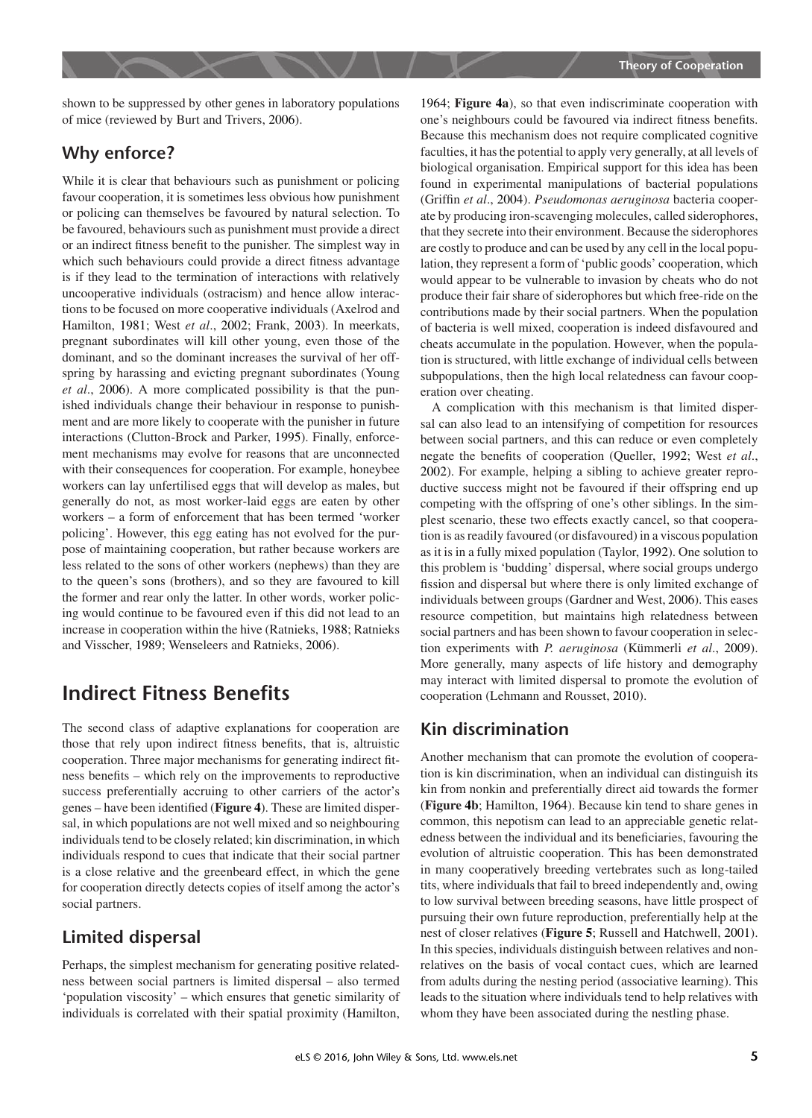shown to be suppressed by other genes in laboratory populations of mice (reviewed by Burt and Trivers, [2006\)](#page-5-0).

#### **Why enforce?**

While it is clear that behaviours such as punishment or policing favour cooperation, it is sometimes less obvious how punishment or policing can themselves be favoured by natural selection. To be favoured, behaviours such as punishment must provide a direct or an indirect fitness benefit to the punisher. The simplest way in which such behaviours could provide a direct fitness advantage is if they lead to the termination of interactions with relatively uncooperative individuals (ostracism) and hence allow interactions to be focused on more cooperative individuals (Axelrod and Hamilton, [1981;](#page-5-0) West *et al*., [2002;](#page-5-0) Frank, [2003\)](#page-5-0). In meerkats, pregnant subordinates will kill other young, even those of the dominant, and so the dominant increases the survival of her offspring by harassing and evicting pregnant subordinates (Young *et al*., [2006\)](#page-5-0). A more complicated possibility is that the punished individuals change their behaviour in response to punishment and are more likely to cooperate with the punisher in future interactions (Clutton-Brock and Parker, [1995\)](#page-5-0). Finally, enforcement mechanisms may evolve for reasons that are unconnected with their consequences for cooperation. For example, honeybee workers can lay unfertilised eggs that will develop as males, but generally do not, as most worker-laid eggs are eaten by other workers – a form of enforcement that has been termed 'worker policing'. However, this egg eating has not evolved for the purpose of maintaining cooperation, but rather because workers are less related to the sons of other workers (nephews) than they are to the queen's sons (brothers), and so they are favoured to kill the former and rear only the latter. In other words, worker policing would continue to be favoured even if this did not lead to an increase in cooperation within the hive (Ratnieks, [1988;](#page-5-0) Ratnieks and Visscher, [1989;](#page-5-0) Wenseleers and Ratnieks, [2006\)](#page-5-0).

# **Indirect Fitness Benefits**

The second class of adaptive explanations for cooperation are those that rely upon indirect fitness benefits, that is, altruistic cooperation. Three major mechanisms for generating indirect fitness benefits – which rely on the improvements to reproductive success preferentially accruing to other carriers of the actor's genes – have been identified (**Figure [4](#page-5-1)**). These are limited dispersal, in which populations are not well mixed and so neighbouring individuals tend to be closely related; kin discrimination, in which individuals respond to cues that indicate that their social partner is a close relative and the greenbeard effect, in which the gene for cooperation directly detects copies of itself among the actor's social partners.

## **Limited dispersal**

Perhaps, the simplest mechanism for generating positive relatedness between social partners is limited dispersal – also termed 'population viscosity' – which ensures that genetic similarity of individuals is correlated with their spatial proximity (Hamilton,

[1964;](#page-5-0) **Figure [4a](#page-5-1)**), so that even indiscriminate cooperation with one's neighbours could be favoured via indirect fitness benefits. Because this mechanism does not require complicated cognitive faculties, it has the potential to apply very generally, at all levels of biological organisation. Empirical support for this idea has been found in experimental manipulations of bacterial populations (Griffin *et al*., [2004\)](#page-5-0). *Pseudomonas aeruginosa* bacteria cooperate by producing iron-scavenging molecules, called siderophores, that they secrete into their environment. Because the siderophores are costly to produce and can be used by any cell in the local population, they represent a form of 'public goods' cooperation, which would appear to be vulnerable to invasion by cheats who do not produce their fair share of siderophores but which free-ride on the contributions made by their social partners. When the population of bacteria is well mixed, cooperation is indeed disfavoured and cheats accumulate in the population. However, when the population is structured, with little exchange of individual cells between subpopulations, then the high local relatedness can favour cooperation over cheating.

A complication with this mechanism is that limited dispersal can also lead to an intensifying of competition for resources between social partners, and this can reduce or even completely negate the benefits of cooperation (Queller, [1992;](#page-5-0) West *et al*., [2002\)](#page-5-0). For example, helping a sibling to achieve greater reproductive success might not be favoured if their offspring end up competing with the offspring of one's other siblings. In the simplest scenario, these two effects exactly cancel, so that cooperation is as readily favoured (or disfavoured) in a viscous population as it is in a fully mixed population (Taylor, [1992\)](#page-5-0). One solution to this problem is 'budding' dispersal, where social groups undergo fission and dispersal but where there is only limited exchange of individuals between groups (Gardner and West, [2006\)](#page-5-0). This eases resource competition, but maintains high relatedness between social partners and has been shown to favour cooperation in selection experiments with *P. aeruginosa* (Kümmerli *et al*., [2009\)](#page-5-0). More generally, many aspects of life history and demography may interact with limited dispersal to promote the evolution of cooperation (Lehmann and Rousset, [2010\)](#page-5-0).

### **Kin discrimination**

Another mechanism that can promote the evolution of cooperation is kin discrimination, when an individual can distinguish its kin from nonkin and preferentially direct aid towards the former (**Figure [4b](#page-5-1)**; Hamilton, [1964\)](#page-5-0). Because kin tend to share genes in common, this nepotism can lead to an appreciable genetic relatedness between the individual and its beneficiaries, favouring the evolution of altruistic cooperation. This has been demonstrated in many cooperatively breeding vertebrates such as long-tailed tits, where individuals that fail to breed independently and, owing to low survival between breeding seasons, have little prospect of pursuing their own future reproduction, preferentially help at the nest of closer relatives (**Figure [5](#page-5-0)**; Russell and Hatchwell, [2001\)](#page-5-0). In this species, individuals distinguish between relatives and nonrelatives on the basis of vocal contact cues, which are learned from adults during the nesting period (associative learning). This leads to the situation where individuals tend to help relatives with whom they have been associated during the nestling phase.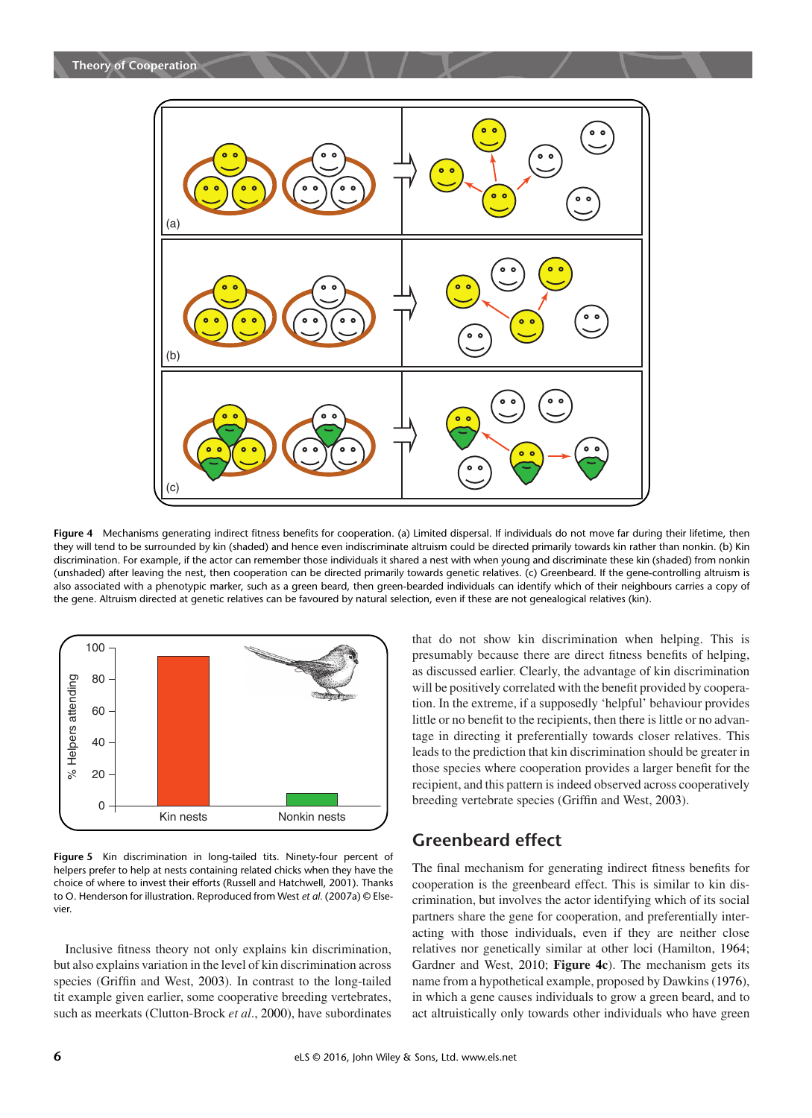<span id="page-5-1"></span>

**Figure 4** Mechanisms generating indirect fitness benefits for cooperation. (a) Limited dispersal. If individuals do not move far during their lifetime, then they will tend to be surrounded by kin (shaded) and hence even indiscriminate altruism could be directed primarily towards kin rather than nonkin. (b) Kin discrimination. For example, if the actor can remember those individuals it shared a nest with when young and discriminate these kin (shaded) from nonkin (unshaded) after leaving the nest, then cooperation can be directed primarily towards genetic relatives. (c) Greenbeard. If the gene-controlling altruism is also associated with a phenotypic marker, such as a green beard, then green-bearded individuals can identify which of their neighbours carries a copy of the gene. Altruism directed at genetic relatives can be favoured by natural selection, even if these are not genealogical relatives (kin).

<span id="page-5-0"></span>

**Figure 5** Kin discrimination in long-tailed tits. Ninety-four percent of helpers prefer to help at nests containing related chicks when they have the choice of where to invest their efforts (Russell and Hatchwell, [2001\)](#page-5-0). Thanks to O. Henderson for illustration. Reproduced from West *et al.* [\(2007a\)](#page-5-0) © Elsevier.

Inclusive fitness theory not only explains kin discrimination, but also explains variation in the level of kin discrimination across species (Griffin and West, [2003\)](#page-5-0). In contrast to the long-tailed tit example given earlier, some cooperative breeding vertebrates, such as meerkats (Clutton-Brock *et al*., [2000\)](#page-5-0), have subordinates that do not show kin discrimination when helping. This is presumably because there are direct fitness benefits of helping, as discussed earlier. Clearly, the advantage of kin discrimination will be positively correlated with the benefit provided by cooperation. In the extreme, if a supposedly 'helpful' behaviour provides little or no benefit to the recipients, then there is little or no advantage in directing it preferentially towards closer relatives. This leads to the prediction that kin discrimination should be greater in those species where cooperation provides a larger benefit for the recipient, and this pattern is indeed observed across cooperatively breeding vertebrate species (Griffin and West, [2003\)](#page-5-0).

## **Greenbeard effect**

The final mechanism for generating indirect fitness benefits for cooperation is the greenbeard effect. This is similar to kin discrimination, but involves the actor identifying which of its social partners share the gene for cooperation, and preferentially interacting with those individuals, even if they are neither close relatives nor genetically similar at other loci (Hamilton, [1964;](#page-5-0) Gardner and West, [2010;](#page-5-0) **Figure [4c](#page-5-1)**). The mechanism gets its name from a hypothetical example, proposed by Dawkins [\(1976\)](#page-5-0), in which a gene causes individuals to grow a green beard, and to act altruistically only towards other individuals who have green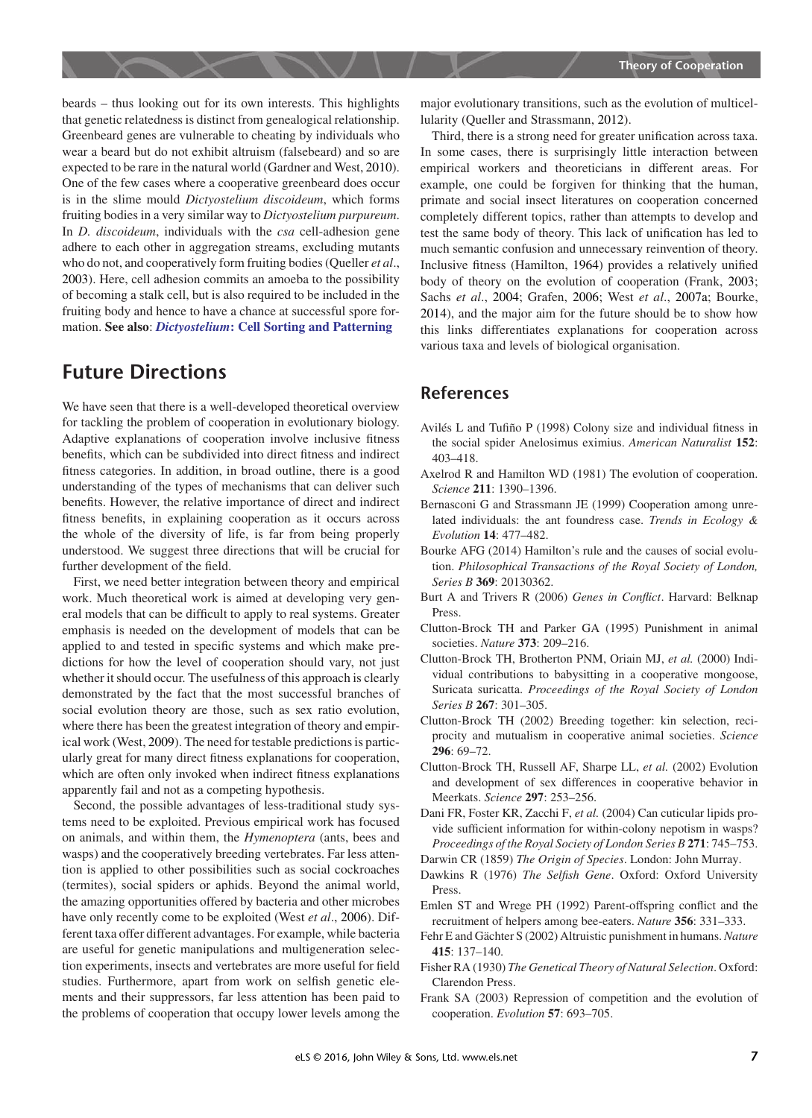beards – thus looking out for its own interests. This highlights that genetic relatedness is distinct from genealogical relationship. Greenbeard genes are vulnerable to cheating by individuals who wear a beard but do not exhibit altruism (falsebeard) and so are expected to be rare in the natural world (Gardner and West, [2010\)](#page-5-0). One of the few cases where a cooperative greenbeard does occur is in the slime mould *Dictyostelium discoideum*, which forms fruiting bodies in a very similar way to *Dictyostelium purpureum*. In *D. discoideum*, individuals with the *csa* cell-adhesion gene adhere to each other in aggregation streams, excluding mutants who do not, and cooperatively form fruiting bodies (Queller *et al*., [2003\)](#page-5-0). Here, cell adhesion commits an amoeba to the possibility of becoming a stalk cell, but is also required to be included in the fruiting body and hence to have a chance at successful spore formation. **See also**: *Dictyostelium***[: Cell Sorting and Patterning](http://onlinelibrary.wiley.com/doi/10.1002/9780470015902.a0001116.pub2)**

# **Future Directions**

We have seen that there is a well-developed theoretical overview for tackling the problem of cooperation in evolutionary biology. Adaptive explanations of cooperation involve inclusive fitness benefits, which can be subdivided into direct fitness and indirect fitness categories. In addition, in broad outline, there is a good understanding of the types of mechanisms that can deliver such benefits. However, the relative importance of direct and indirect fitness benefits, in explaining cooperation as it occurs across the whole of the diversity of life, is far from being properly understood. We suggest three directions that will be crucial for further development of the field.

First, we need better integration between theory and empirical work. Much theoretical work is aimed at developing very general models that can be difficult to apply to real systems. Greater emphasis is needed on the development of models that can be applied to and tested in specific systems and which make predictions for how the level of cooperation should vary, not just whether it should occur. The usefulness of this approach is clearly demonstrated by the fact that the most successful branches of social evolution theory are those, such as sex ratio evolution, where there has been the greatest integration of theory and empirical work (West, [2009\)](#page-5-0). The need for testable predictions is particularly great for many direct fitness explanations for cooperation, which are often only invoked when indirect fitness explanations apparently fail and not as a competing hypothesis.

Second, the possible advantages of less-traditional study systems need to be exploited. Previous empirical work has focused on animals, and within them, the *Hymenoptera* (ants, bees and wasps) and the cooperatively breeding vertebrates. Far less attention is applied to other possibilities such as social cockroaches (termites), social spiders or aphids. Beyond the animal world, the amazing opportunities offered by bacteria and other microbes have only recently come to be exploited (West *et al*., [2006\)](#page-5-0). Different taxa offer different advantages. For example, while bacteria are useful for genetic manipulations and multigeneration selection experiments, insects and vertebrates are more useful for field studies. Furthermore, apart from work on selfish genetic elements and their suppressors, far less attention has been paid to the problems of cooperation that occupy lower levels among the major evolutionary transitions, such as the evolution of multicellularity (Queller and Strassmann, [2012\)](#page-5-0).

Third, there is a strong need for greater unification across taxa. In some cases, there is surprisingly little interaction between empirical workers and theoreticians in different areas. For example, one could be forgiven for thinking that the human, primate and social insect literatures on cooperation concerned completely different topics, rather than attempts to develop and test the same body of theory. This lack of unification has led to much semantic confusion and unnecessary reinvention of theory. Inclusive fitness (Hamilton, [1964\)](#page-5-0) provides a relatively unified body of theory on the evolution of cooperation (Frank, [2003;](#page-5-0) Sachs *et al*., [2004;](#page-5-0) Grafen, [2006;](#page-5-0) West *et al*., [2007a;](#page-5-0) Bourke, [2014\)](#page-5-0), and the major aim for the future should be to show how this links differentiates explanations for cooperation across various taxa and levels of biological organisation.

#### **References**

- Avilés L and Tufiño P (1998) Colony size and individual fitness in the social spider Anelosimus eximius. *American Naturalist* **152**: 403–418.
- Axelrod R and Hamilton WD (1981) The evolution of cooperation. *Science* **211**: 1390–1396.
- Bernasconi G and Strassmann JE (1999) Cooperation among unrelated individuals: the ant foundress case. *Trends in Ecology & Evolution* **14**: 477–482.
- Bourke AFG (2014) Hamilton's rule and the causes of social evolution. *Philosophical Transactions of the Royal Society of London, Series B* **369**: 20130362.
- Burt A and Trivers R (2006) *Genes in Conflict*. Harvard: Belknap Press.
- Clutton-Brock TH and Parker GA (1995) Punishment in animal societies. *Nature* **373**: 209–216.
- Clutton-Brock TH, Brotherton PNM, Oriain MJ, *et al.* (2000) Individual contributions to babysitting in a cooperative mongoose, Suricata suricatta. *Proceedings of the Royal Society of London Series B* **267**: 301–305.
- Clutton-Brock TH (2002) Breeding together: kin selection, reciprocity and mutualism in cooperative animal societies. *Science* **296**: 69–72.
- Clutton-Brock TH, Russell AF, Sharpe LL, *et al.* (2002) Evolution and development of sex differences in cooperative behavior in Meerkats. *Science* **297**: 253–256.
- Dani FR, Foster KR, Zacchi F, *et al.* (2004) Can cuticular lipids provide sufficient information for within-colony nepotism in wasps? *Proceedings of the Royal Society of London Series B* **271**: 745–753.
- Darwin CR (1859) *The Origin of Species*. London: John Murray.
- Dawkins R (1976) *The Selfish Gene*. Oxford: Oxford University Press.
- Emlen ST and Wrege PH (1992) Parent-offspring conflict and the recruitment of helpers among bee-eaters. *Nature* **356**: 331–333.
- Fehr E and Gächter S (2002) Altruistic punishment in humans. *Nature* **415**: 137–140.
- Fisher RA (1930) *The Genetical Theory of Natural Selection*. Oxford: Clarendon Press.
- Frank SA (2003) Repression of competition and the evolution of cooperation. *Evolution* **57**: 693–705.